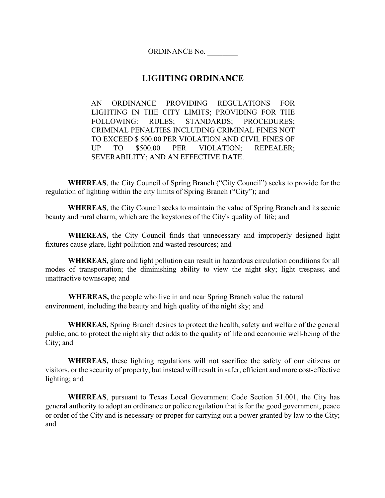ORDINANCE No. \_\_\_\_\_\_\_\_

# **LIGHTING ORDINANCE**

AN ORDINANCE PROVIDING REGULATIONS FOR LIGHTING IN THE CITY LIMITS; PROVIDING FOR THE FOLLOWING: RULES; STANDARDS; PROCEDURES; CRIMINAL PENALTIES INCLUDING CRIMINAL FINES NOT TO EXCEED \$ 500.00 PER VIOLATION AND CIVIL FINES OF UP TO \$500.00 PER VIOLATION; REPEALER; SEVERABILITY; AND AN EFFECTIVE DATE.

**WHEREAS**, the City Council of Spring Branch ("City Council") seeks to provide for the regulation of lighting within the city limits of Spring Branch ("City"); and

**WHEREAS**, the City Council seeks to maintain the value of Spring Branch and its scenic beauty and rural charm, which are the keystones of the City's quality of life; and

**WHEREAS,** the City Council finds that unnecessary and improperly designed light fixtures cause glare, light pollution and wasted resources; and

**WHEREAS,** glare and light pollution can result in hazardous circulation conditions for all modes of transportation; the diminishing ability to view the night sky; light trespass; and unattractive townscape; and

**WHEREAS,** the people who live in and near Spring Branch value the natural environment, including the beauty and high quality of the night sky; and

**WHEREAS,** Spring Branch desires to protect the health, safety and welfare of the general public, and to protect the night sky that adds to the quality of life and economic well-being of the City; and

**WHEREAS,** these lighting regulations will not sacrifice the safety of our citizens or visitors, or the security of property, but instead will result in safer, efficient and more cost-effective lighting; and

**WHEREAS**, pursuant to Texas Local Government Code Section 51.001, the City has general authority to adopt an ordinance or police regulation that is for the good government, peace or order of the City and is necessary or proper for carrying out a power granted by law to the City; and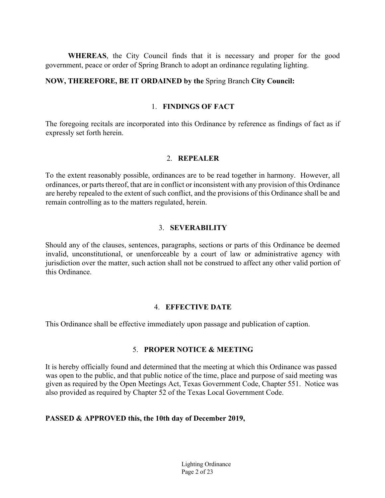**WHEREAS**, the City Council finds that it is necessary and proper for the good government, peace or order of Spring Branch to adopt an ordinance regulating lighting.

#### **NOW, THEREFORE, BE IT ORDAINED by the** Spring Branch **City Council:**

#### 1. **FINDINGS OF FACT**

The foregoing recitals are incorporated into this Ordinance by reference as findings of fact as if expressly set forth herein.

#### 2. **REPEALER**

To the extent reasonably possible, ordinances are to be read together in harmony. However, all ordinances, or parts thereof, that are in conflict or inconsistent with any provision of this Ordinance are hereby repealed to the extent of such conflict, and the provisions of this Ordinance shall be and remain controlling as to the matters regulated, herein.

### 3. **SEVERABILITY**

Should any of the clauses, sentences, paragraphs, sections or parts of this Ordinance be deemed invalid, unconstitutional, or unenforceable by a court of law or administrative agency with jurisdiction over the matter, such action shall not be construed to affect any other valid portion of this Ordinance.

#### 4. **EFFECTIVE DATE**

This Ordinance shall be effective immediately upon passage and publication of caption.

#### 5. **PROPER NOTICE & MEETING**

It is hereby officially found and determined that the meeting at which this Ordinance was passed was open to the public, and that public notice of the time, place and purpose of said meeting was given as required by the Open Meetings Act, Texas Government Code, Chapter 551. Notice was also provided as required by Chapter 52 of the Texas Local Government Code.

#### **PASSED & APPROVED this, the 10th day of December 2019,**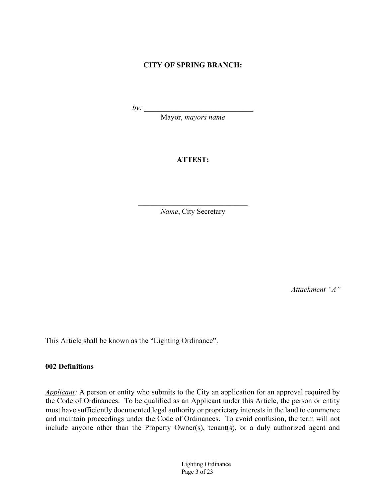## **CITY OF SPRING BRANCH:**

*by*:

Mayor, *mayors name*

# **ATTEST:**

 $\mathcal{L}_\text{max}$  , and the set of the set of the set of the set of the set of the set of the set of the set of the set of the set of the set of the set of the set of the set of the set of the set of the set of the set of the *Name*, City Secretary

*Attachment "A"*

This Article shall be known as the "Lighting Ordinance".

#### **002 Definitions**

*Applicant:* A person or entity who submits to the City an application for an approval required by the Code of Ordinances. To be qualified as an Applicant under this Article, the person or entity must have sufficiently documented legal authority or proprietary interests in the land to commence and maintain proceedings under the Code of Ordinances. To avoid confusion, the term will not include anyone other than the Property Owner(s), tenant(s), or a duly authorized agent and

> Lighting Ordinance Page 3 of 23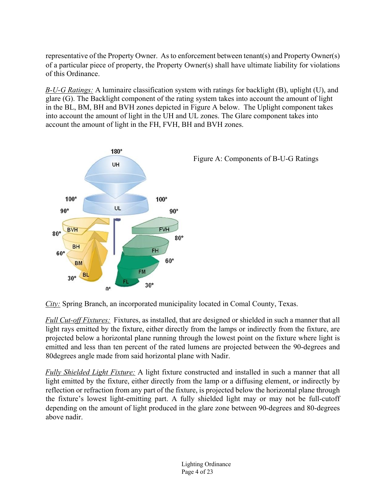representative of the Property Owner. As to enforcement between tenant(s) and Property Owner(s) of a particular piece of property, the Property Owner(s) shall have ultimate liability for violations of this Ordinance.

*B-U-G Ratings:* A luminaire classification system with ratings for backlight (B), uplight (U), and glare (G). The Backlight component of the rating system takes into account the amount of light in the BL, BM, BH and BVH zones depicted in Figure A below. The Uplight component takes into account the amount of light in the UH and UL zones. The Glare component takes into account the amount of light in the FH, FVH, BH and BVH zones.





*City:* Spring Branch, an incorporated municipality located in Comal County, Texas.

*Full Cut-off Fixtures:* Fixtures, as installed, that are designed or shielded in such a manner that all light rays emitted by the fixture, either directly from the lamps or indirectly from the fixture, are projected below a horizontal plane running through the lowest point on the fixture where light is emitted and less than ten percent of the rated lumens are projected between the 90-degrees and 80degrees angle made from said horizontal plane with Nadir.

*Fully Shielded Light Fixture:* A light fixture constructed and installed in such a manner that all light emitted by the fixture, either directly from the lamp or a diffusing element, or indirectly by reflection or refraction from any part of the fixture, is projected below the horizontal plane through the fixture's lowest light-emitting part. A fully shielded light may or may not be full-cutoff depending on the amount of light produced in the glare zone between 90-degrees and 80-degrees above nadir.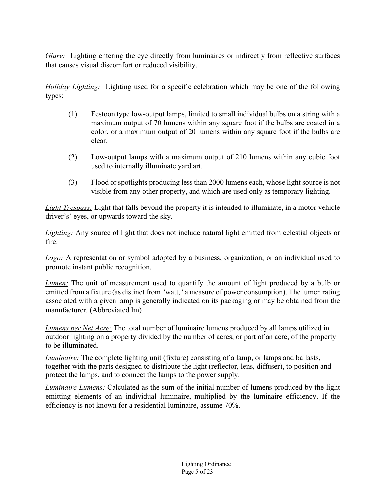*Glare:* Lighting entering the eye directly from luminaires or indirectly from reflective surfaces that causes visual discomfort or reduced visibility.

*Holiday Lighting:* Lighting used for a specific celebration which may be one of the following types:

- (1) Festoon type low-output lamps, limited to small individual bulbs on a string with a maximum output of 70 lumens within any square foot if the bulbs are coated in a color, or a maximum output of 20 lumens within any square foot if the bulbs are clear.
- (2) Low-output lamps with a maximum output of 210 lumens within any cubic foot used to internally illuminate yard art.
- (3) Flood or spotlights producing less than 2000 lumens each, whose light source is not visible from any other property, and which are used only as temporary lighting.

*Light Trespass:* Light that falls beyond the property it is intended to illuminate, in a motor vehicle driver's' eyes, or upwards toward the sky.

*Lighting:* Any source of light that does not include natural light emitted from celestial objects or fire.

*Logo:* A representation or symbol adopted by a business, organization, or an individual used to promote instant public recognition.

*Lumen:* The unit of measurement used to quantify the amount of light produced by a bulb or emitted from a fixture (as distinct from "watt," a measure of power consumption). The lumen rating associated with a given lamp is generally indicated on its packaging or may be obtained from the manufacturer. (Abbreviated lm)

*Lumens per Net Acre:* The total number of luminaire lumens produced by all lamps utilized in outdoor lighting on a property divided by the number of acres, or part of an acre, of the property to be illuminated.

*Luminaire:* The complete lighting unit (fixture) consisting of a lamp, or lamps and ballasts, together with the parts designed to distribute the light (reflector, lens, diffuser), to position and protect the lamps, and to connect the lamps to the power supply.

*Luminaire Lumens:* Calculated as the sum of the initial number of lumens produced by the light emitting elements of an individual luminaire, multiplied by the luminaire efficiency. If the efficiency is not known for a residential luminaire, assume 70%.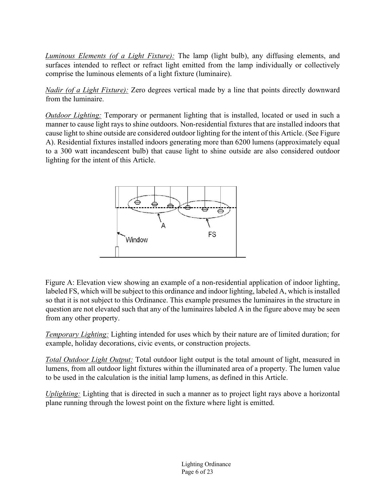*Luminous Elements (of a Light Fixture):* The lamp (light bulb), any diffusing elements, and surfaces intended to reflect or refract light emitted from the lamp individually or collectively comprise the luminous elements of a light fixture (luminaire).

*Nadir (of a Light Fixture):* Zero degrees vertical made by a line that points directly downward from the luminaire.

*Outdoor Lighting:* Temporary or permanent lighting that is installed, located or used in such a manner to cause light rays to shine outdoors. Non-residential fixtures that are installed indoors that cause light to shine outside are considered outdoor lighting for the intent of this Article. (See Figure A). Residential fixtures installed indoors generating more than 6200 lumens (approximately equal to a 300 watt incandescent bulb) that cause light to shine outside are also considered outdoor lighting for the intent of this Article.



Figure A: Elevation view showing an example of a non-residential application of indoor lighting, labeled FS, which will be subject to this ordinance and indoor lighting, labeled A, which is installed so that it is not subject to this Ordinance. This example presumes the luminaires in the structure in question are not elevated such that any of the luminaires labeled A in the figure above may be seen from any other property.

*Temporary Lighting:* Lighting intended for uses which by their nature are of limited duration; for example, holiday decorations, civic events, or construction projects.

*Total Outdoor Light Output:* Total outdoor light output is the total amount of light, measured in lumens, from all outdoor light fixtures within the illuminated area of a property. The lumen value to be used in the calculation is the initial lamp lumens, as defined in this Article.

*Uplighting:* Lighting that is directed in such a manner as to project light rays above a horizontal plane running through the lowest point on the fixture where light is emitted.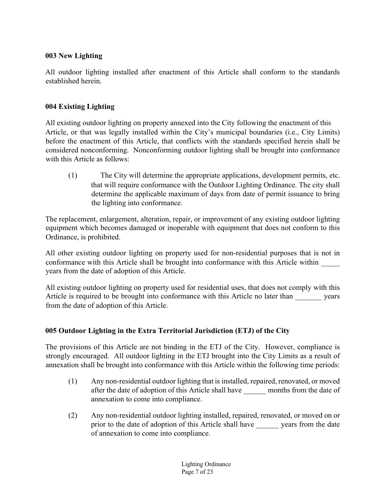# **003 New Lighting**

All outdoor lighting installed after enactment of this Article shall conform to the standards established herein.

# **004 Existing Lighting**

All existing outdoor lighting on property annexed into the City following the enactment of this Article, or that was legally installed within the City's municipal boundaries (i.e., City Limits) before the enactment of this Article, that conflicts with the standards specified herein shall be considered nonconforming. Nonconforming outdoor lighting shall be brought into conformance with this Article as follows:

(1) The City will determine the appropriate applications, development permits, etc. that will require conformance with the Outdoor Lighting Ordinance. The city shall determine the applicable maximum of days from date of permit issuance to bring the lighting into conformance.

The replacement, enlargement, alteration, repair, or improvement of any existing outdoor lighting equipment which becomes damaged or inoperable with equipment that does not conform to this Ordinance, is prohibited.

All other existing outdoor lighting on property used for non-residential purposes that is not in conformance with this Article shall be brought into conformance with this Article within \_ years from the date of adoption of this Article.

All existing outdoor lighting on property used for residential uses, that does not comply with this Article is required to be brought into conformance with this Article no later than years from the date of adoption of this Article.

# **005 Outdoor Lighting in the Extra Territorial Jurisdiction (ETJ) of the City**

The provisions of this Article are not binding in the ETJ of the City. However, compliance is strongly encouraged. All outdoor lighting in the ETJ brought into the City Limits as a result of annexation shall be brought into conformance with this Article within the following time periods:

- (1) Any non-residential outdoor lighting that is installed, repaired, renovated, or moved after the date of adoption of this Article shall have months from the date of annexation to come into compliance.
- (2) Any non-residential outdoor lighting installed, repaired, renovated, or moved on or prior to the date of adoption of this Article shall have years from the date of annexation to come into compliance.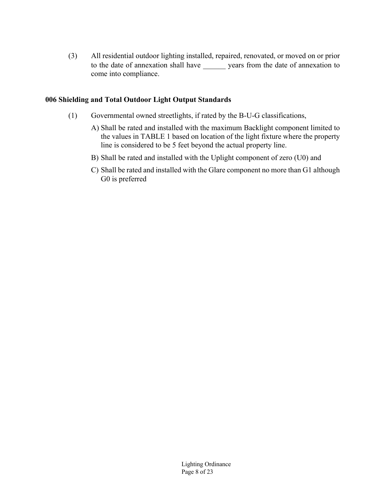(3) All residential outdoor lighting installed, repaired, renovated, or moved on or prior to the date of annexation shall have \_\_\_\_\_\_ years from the date of annexation to come into compliance.

### **006 Shielding and Total Outdoor Light Output Standards**

- (1) Governmental owned streetlights, if rated by the B-U-G classifications,
	- A) Shall be rated and installed with the maximum Backlight component limited to the values in TABLE 1 based on location of the light fixture where the property line is considered to be 5 feet beyond the actual property line.
	- B) Shall be rated and installed with the Uplight component of zero (U0) and
	- C) Shall be rated and installed with the Glare component no more than G1 although G0 is preferred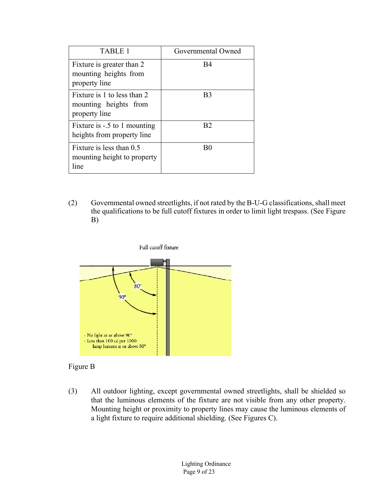| TABLE 1                                                               | Governmental Owned |
|-----------------------------------------------------------------------|--------------------|
| Fixture is greater than 2<br>mounting heights from<br>property line   | B4                 |
| Fixture is 1 to less than 2<br>mounting heights from<br>property line | B <sub>3</sub>     |
| Fixture is -.5 to 1 mounting<br>heights from property line            | B <sub>2</sub>     |
| Fixture is less than 0.5<br>mounting height to property<br>line       | B0                 |

(2) Governmental owned streetlights, if not rated by the B-U-G classifications, shall meet the qualifications to be full cutoff fixtures in order to limit light trespass. (See Figure B)



### Figure B

(3) All outdoor lighting, except governmental owned streetlights, shall be shielded so that the luminous elements of the fixture are not visible from any other property. Mounting height or proximity to property lines may cause the luminous elements of a light fixture to require additional shielding. (See Figures C).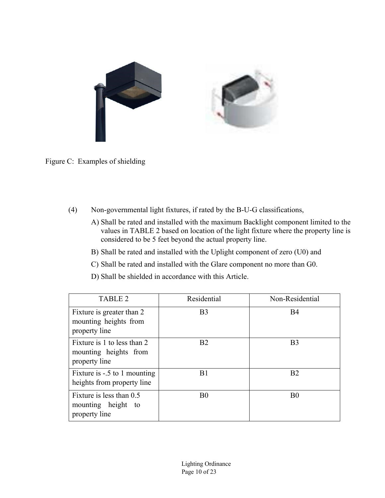

Figure C: Examples of shielding

- (4) Non-governmental light fixtures, if rated by the B-U-G classifications,
	- A) Shall be rated and installed with the maximum Backlight component limited to the values in TABLE 2 based on location of the light fixture where the property line is considered to be 5 feet beyond the actual property line.
	- B) Shall be rated and installed with the Uplight component of zero (U0) and
	- C) Shall be rated and installed with the Glare component no more than G0.
	- D) Shall be shielded in accordance with this Article.

| TABLE 2                                                               | Residential    | Non-Residential |
|-----------------------------------------------------------------------|----------------|-----------------|
| Fixture is greater than 2<br>mounting heights from<br>property line   | B <sub>3</sub> | <b>B4</b>       |
| Fixture is 1 to less than 2<br>mounting heights from<br>property line | B <sub>2</sub> | B <sub>3</sub>  |
| Fixture is -.5 to 1 mounting<br>heights from property line            | B1             | B <sub>2</sub>  |
| Fixture is less than 0.5<br>mounting height to<br>property line       | B <sub>0</sub> | B <sub>0</sub>  |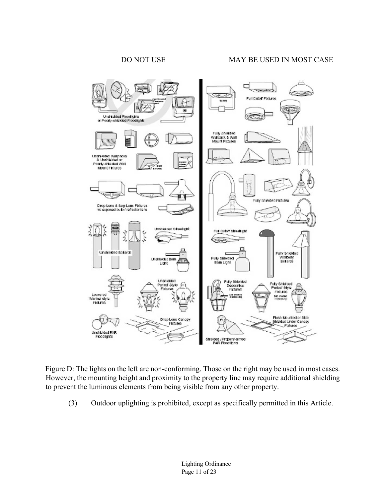#### DO NOT USE MAY BE USED IN MOST CASE



Figure D: The lights on the left are non-conforming. Those on the right may be used in most cases. However, the mounting height and proximity to the property line may require additional shielding to prevent the luminous elements from being visible from any other property.

(3) Outdoor uplighting is prohibited, except as specifically permitted in this Article.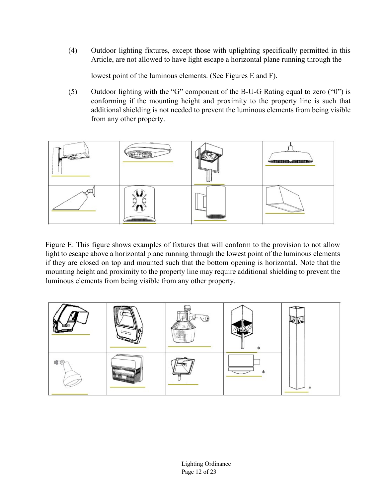(4) Outdoor lighting fixtures, except those with uplighting specifically permitted in this Article, are not allowed to have light escape a horizontal plane running through the

lowest point of the luminous elements. (See Figures E and F).

(5) Outdoor lighting with the "G" component of the B-U-G Rating equal to zero ("0") is conforming if the mounting height and proximity to the property line is such that additional shielding is not needed to prevent the luminous elements from being visible from any other property.



Figure E: This figure shows examples of fixtures that will conform to the provision to not allow light to escape above a horizontal plane running through the lowest point of the luminous elements if they are closed on top and mounted such that the bottom opening is horizontal. Note that the mounting height and proximity to the property line may require additional shielding to prevent the luminous elements from being visible from any other property.

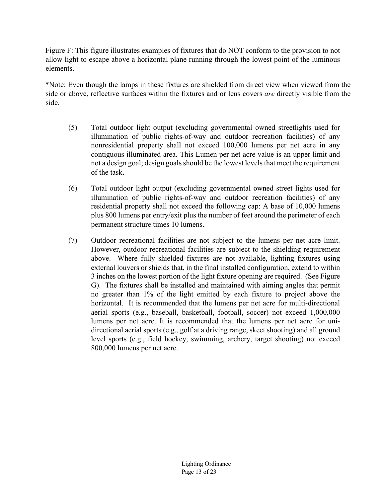Figure F: This figure illustrates examples of fixtures that do NOT conform to the provision to not allow light to escape above a horizontal plane running through the lowest point of the luminous elements.

\*Note: Even though the lamps in these fixtures are shielded from direct view when viewed from the side or above, reflective surfaces within the fixtures and or lens covers *are* directly visible from the side.

- (5) Total outdoor light output (excluding governmental owned streetlights used for illumination of public rights-of-way and outdoor recreation facilities) of any nonresidential property shall not exceed 100,000 lumens per net acre in any contiguous illuminated area. This Lumen per net acre value is an upper limit and not a design goal; design goals should be the lowest levels that meet the requirement of the task.
- (6) Total outdoor light output (excluding governmental owned street lights used for illumination of public rights-of-way and outdoor recreation facilities) of any residential property shall not exceed the following cap: A base of 10,000 lumens plus 800 lumens per entry/exit plus the number of feet around the perimeter of each permanent structure times 10 lumens.
- (7) Outdoor recreational facilities are not subject to the lumens per net acre limit. However, outdoor recreational facilities are subject to the shielding requirement above. Where fully shielded fixtures are not available, lighting fixtures using external louvers or shields that, in the final installed configuration, extend to within 3 inches on the lowest portion of the light fixture opening are required. (See Figure G). The fixtures shall be installed and maintained with aiming angles that permit no greater than 1% of the light emitted by each fixture to project above the horizontal. It is recommended that the lumens per net acre for multi-directional aerial sports (e.g., baseball, basketball, football, soccer) not exceed 1,000,000 lumens per net acre. It is recommended that the lumens per net acre for unidirectional aerial sports (e.g., golf at a driving range, skeet shooting) and all ground level sports (e.g., field hockey, swimming, archery, target shooting) not exceed 800,000 lumens per net acre.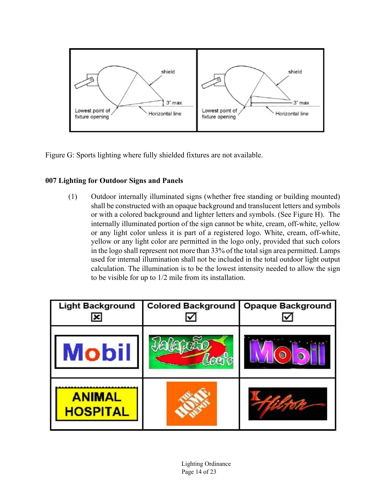

Figure G: Sports lighting where fully shielded fixtures are not available.

# **007 Lighting for Outdoor Signs and Panels**

(1) Outdoor internally illuminated signs (whether free standing or building mounted) shall be constructed with an opaque background and translucent letters and symbols or with a colored background and lighter letters and symbols. (See Figure H). The internally illuminated portion of the sign cannot be white, cream, off-white, yellow or any light color unless it is part of a registered logo. White, cream, off-white, yellow or any light color are permitted in the logo only, provided that such colors in the logo shall represent not more than 33% of the total sign area permitted. Lamps used for internal illumination shall not be included in the total outdoor light output calculation. The illumination is to be the lowest intensity needed to allow the sign to be visible for up to 1/2 mile from its installation.

| <b>Light Background</b><br>$\vert x \vert$ | <b>Colored Background</b> | <b>Opaque Background</b> |  |  |
|--------------------------------------------|---------------------------|--------------------------|--|--|
| <b>Mobil</b>                               |                           |                          |  |  |
| <b>ANIMAL</b><br><b>HOSPITAL</b>           |                           |                          |  |  |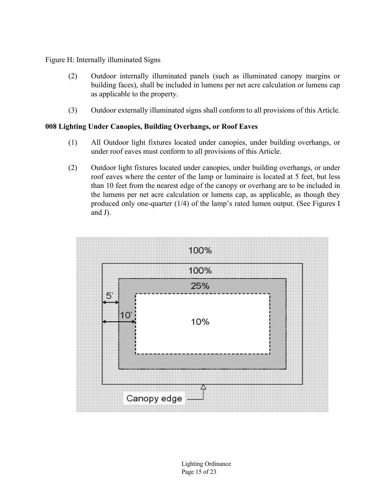Figure H: Internally illuminated Signs

- (2) Outdoor internally illuminated panels (such as illuminated canopy margins or building faces), shall be included in lumens per net acre calculation or lumens cap as applicable to the property.
- (3) Outdoor externally illuminated signs shall conform to all provisions of this Article.

### **008 Lighting Under Canopies, Building Overhangs, or Roof Eaves**

- (1) All Outdoor light fixtures located under canopies, under building overhangs, or under roof eaves must conform to all provisions of this Article.
- (2) Outdoor light fixtures located under canopies, under building overhangs, or under roof eaves where the center of the lamp or luminaire is located at 5 feet, but less than 10 feet from the nearest edge of the canopy or overhang are to be included in the lumens per net acre calculation or lumens cap, as applicable, as though they produced only one-quarter (1/4) of the lamp's rated lumen output. (See Figures I and J).

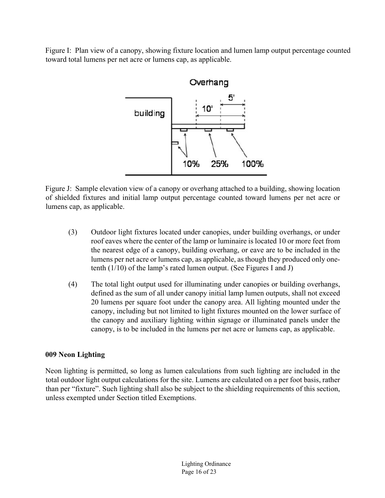Figure I: Plan view of a canopy, showing fixture location and lumen lamp output percentage counted toward total lumens per net acre or lumens cap, as applicable.



Figure J: Sample elevation view of a canopy or overhang attached to a building, showing location of shielded fixtures and initial lamp output percentage counted toward lumens per net acre or lumens cap, as applicable.

- (3) Outdoor light fixtures located under canopies, under building overhangs, or under roof eaves where the center of the lamp or luminaire is located 10 or more feet from the nearest edge of a canopy, building overhang, or eave are to be included in the lumens per net acre or lumens cap, as applicable, as though they produced only onetenth (1/10) of the lamp's rated lumen output. (See Figures I and J)
- (4) The total light output used for illuminating under canopies or building overhangs, defined as the sum of all under canopy initial lamp lumen outputs, shall not exceed 20 lumens per square foot under the canopy area. All lighting mounted under the canopy, including but not limited to light fixtures mounted on the lower surface of the canopy and auxiliary lighting within signage or illuminated panels under the canopy, is to be included in the lumens per net acre or lumens cap, as applicable.

# **009 Neon Lighting**

Neon lighting is permitted, so long as lumen calculations from such lighting are included in the total outdoor light output calculations for the site. Lumens are calculated on a per foot basis, rather than per "fixture". Such lighting shall also be subject to the shielding requirements of this section, unless exempted under Section titled Exemptions.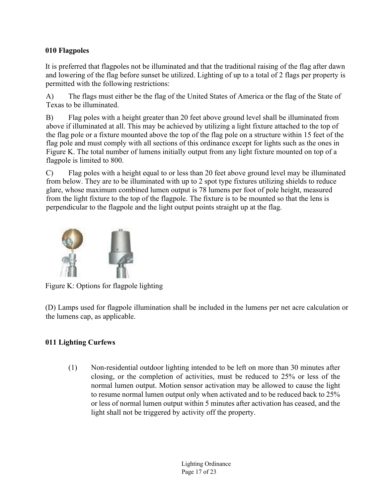# **010 Flagpoles**

It is preferred that flagpoles not be illuminated and that the traditional raising of the flag after dawn and lowering of the flag before sunset be utilized. Lighting of up to a total of 2 flags per property is permitted with the following restrictions:

A) The flags must either be the flag of the United States of America or the flag of the State of Texas to be illuminated.

B) Flag poles with a height greater than 20 feet above ground level shall be illuminated from above if illuminated at all. This may be achieved by utilizing a light fixture attached to the top of the flag pole or a fixture mounted above the top of the flag pole on a structure within 15 feet of the flag pole and must comply with all sections of this ordinance except for lights such as the ones in Figure K. The total number of lumens initially output from any light fixture mounted on top of a flagpole is limited to 800.

C) Flag poles with a height equal to or less than 20 feet above ground level may be illuminated from below. They are to be illuminated with up to 2 spot type fixtures utilizing shields to reduce glare, whose maximum combined lumen output is 78 lumens per foot of pole height, measured from the light fixture to the top of the flagpole. The fixture is to be mounted so that the lens is perpendicular to the flagpole and the light output points straight up at the flag.



Figure K: Options for flagpole lighting

(D) Lamps used for flagpole illumination shall be included in the lumens per net acre calculation or the lumens cap, as applicable.

# **011 Lighting Curfews**

(1) Non-residential outdoor lighting intended to be left on more than 30 minutes after closing, or the completion of activities, must be reduced to 25% or less of the normal lumen output. Motion sensor activation may be allowed to cause the light to resume normal lumen output only when activated and to be reduced back to 25% or less of normal lumen output within 5 minutes after activation has ceased, and the light shall not be triggered by activity off the property.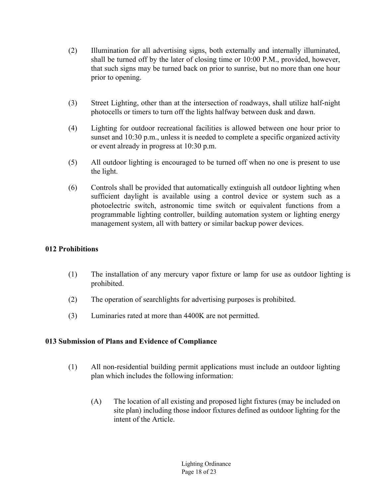- (2) Illumination for all advertising signs, both externally and internally illuminated, shall be turned off by the later of closing time or 10:00 P.M., provided, however, that such signs may be turned back on prior to sunrise, but no more than one hour prior to opening.
- (3) Street Lighting, other than at the intersection of roadways, shall utilize half-night photocells or timers to turn off the lights halfway between dusk and dawn.
- (4) Lighting for outdoor recreational facilities is allowed between one hour prior to sunset and 10:30 p.m., unless it is needed to complete a specific organized activity or event already in progress at 10:30 p.m.
- (5) All outdoor lighting is encouraged to be turned off when no one is present to use the light.
- (6) Controls shall be provided that automatically extinguish all outdoor lighting when sufficient daylight is available using a control device or system such as a photoelectric switch, astronomic time switch or equivalent functions from a programmable lighting controller, building automation system or lighting energy management system, all with battery or similar backup power devices.

## **012 Prohibitions**

- (1) The installation of any mercury vapor fixture or lamp for use as outdoor lighting is prohibited.
- (2) The operation of searchlights for advertising purposes is prohibited.
- (3) Luminaries rated at more than 4400K are not permitted.

# **013 Submission of Plans and Evidence of Compliance**

- (1) All non-residential building permit applications must include an outdoor lighting plan which includes the following information:
	- (A) The location of all existing and proposed light fixtures (may be included on site plan) including those indoor fixtures defined as outdoor lighting for the intent of the Article.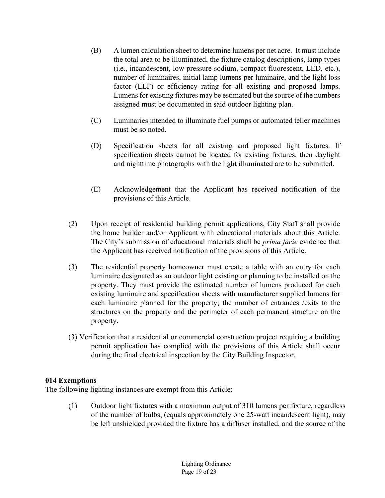- (B) A lumen calculation sheet to determine lumens per net acre. It must include the total area to be illuminated, the fixture catalog descriptions, lamp types (i.e., incandescent, low pressure sodium, compact fluorescent, LED, etc.), number of luminaires, initial lamp lumens per luminaire, and the light loss factor (LLF) or efficiency rating for all existing and proposed lamps. Lumens for existing fixtures may be estimated but the source of the numbers assigned must be documented in said outdoor lighting plan.
- (C) Luminaries intended to illuminate fuel pumps or automated teller machines must be so noted.
- (D) Specification sheets for all existing and proposed light fixtures. If specification sheets cannot be located for existing fixtures, then daylight and nighttime photographs with the light illuminated are to be submitted.
- (E) Acknowledgement that the Applicant has received notification of the provisions of this Article.
- (2) Upon receipt of residential building permit applications, City Staff shall provide the home builder and/or Applicant with educational materials about this Article. The City's submission of educational materials shall be *prima facie* evidence that the Applicant has received notification of the provisions of this Article.
- (3) The residential property homeowner must create a table with an entry for each luminaire designated as an outdoor light existing or planning to be installed on the property. They must provide the estimated number of lumens produced for each existing luminaire and specification sheets with manufacturer supplied lumens for each luminaire planned for the property; the number of entrances /exits to the structures on the property and the perimeter of each permanent structure on the property.
- (3) Verification that a residential or commercial construction project requiring a building permit application has complied with the provisions of this Article shall occur during the final electrical inspection by the City Building Inspector.

# **014 Exemptions**

The following lighting instances are exempt from this Article:

(1) Outdoor light fixtures with a maximum output of 310 lumens per fixture, regardless of the number of bulbs, (equals approximately one 25-watt incandescent light), may be left unshielded provided the fixture has a diffuser installed, and the source of the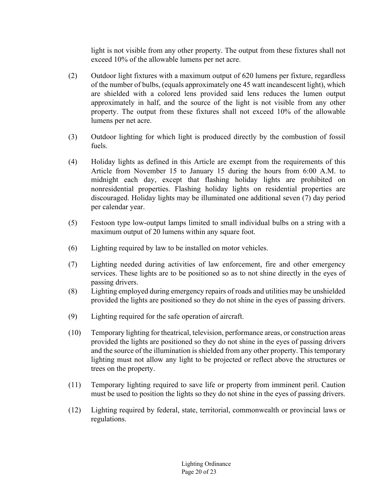light is not visible from any other property. The output from these fixtures shall not exceed 10% of the allowable lumens per net acre.

- (2) Outdoor light fixtures with a maximum output of 620 lumens per fixture, regardless of the number of bulbs, (equals approximately one 45 watt incandescent light), which are shielded with a colored lens provided said lens reduces the lumen output approximately in half, and the source of the light is not visible from any other property. The output from these fixtures shall not exceed 10% of the allowable lumens per net acre.
- (3) Outdoor lighting for which light is produced directly by the combustion of fossil fuels.
- (4) Holiday lights as defined in this Article are exempt from the requirements of this Article from November 15 to January 15 during the hours from 6:00 A.M. to midnight each day, except that flashing holiday lights are prohibited on nonresidential properties. Flashing holiday lights on residential properties are discouraged. Holiday lights may be illuminated one additional seven (7) day period per calendar year.
- (5) Festoon type low-output lamps limited to small individual bulbs on a string with a maximum output of 20 lumens within any square foot.
- (6) Lighting required by law to be installed on motor vehicles.
- (7) Lighting needed during activities of law enforcement, fire and other emergency services. These lights are to be positioned so as to not shine directly in the eyes of passing drivers.
- (8) Lighting employed during emergency repairs of roads and utilities may be unshielded provided the lights are positioned so they do not shine in the eyes of passing drivers.
- (9) Lighting required for the safe operation of aircraft.
- (10) Temporary lighting for theatrical, television, performance areas, or construction areas provided the lights are positioned so they do not shine in the eyes of passing drivers and the source of the illumination is shielded from any other property. This temporary lighting must not allow any light to be projected or reflect above the structures or trees on the property.
- (11) Temporary lighting required to save life or property from imminent peril. Caution must be used to position the lights so they do not shine in the eyes of passing drivers.
- (12) Lighting required by federal, state, territorial, commonwealth or provincial laws or regulations.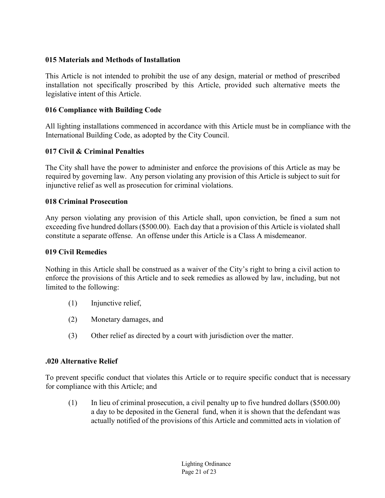# **015 Materials and Methods of Installation**

This Article is not intended to prohibit the use of any design, material or method of prescribed installation not specifically proscribed by this Article, provided such alternative meets the legislative intent of this Article.

# **016 Compliance with Building Code**

All lighting installations commenced in accordance with this Article must be in compliance with the International Building Code, as adopted by the City Council.

# **017 Civil & Criminal Penalties**

The City shall have the power to administer and enforce the provisions of this Article as may be required by governing law. Any person violating any provision of this Article is subject to suit for injunctive relief as well as prosecution for criminal violations.

# **018 Criminal Prosecution**

Any person violating any provision of this Article shall, upon conviction, be fined a sum not exceeding five hundred dollars (\$500.00). Each day that a provision of this Article is violated shall constitute a separate offense. An offense under this Article is a Class A misdemeanor.

# **019 Civil Remedies**

Nothing in this Article shall be construed as a waiver of the City's right to bring a civil action to enforce the provisions of this Article and to seek remedies as allowed by law, including, but not limited to the following:

- (1) Injunctive relief,
- (2) Monetary damages, and
- (3) Other relief as directed by a court with jurisdiction over the matter.

# **.020 Alternative Relief**

To prevent specific conduct that violates this Article or to require specific conduct that is necessary for compliance with this Article; and

(1) In lieu of criminal prosecution, a civil penalty up to five hundred dollars (\$500.00) a day to be deposited in the General fund, when it is shown that the defendant was actually notified of the provisions of this Article and committed acts in violation of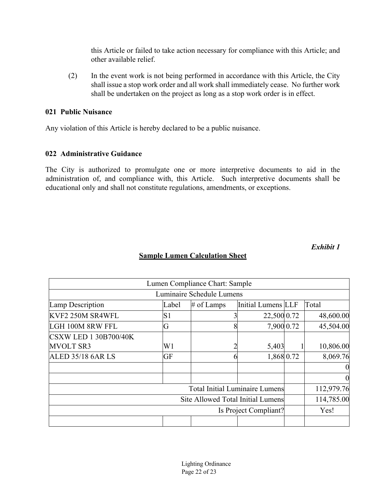this Article or failed to take action necessary for compliance with this Article; and other available relief.

(2) In the event work is not being performed in accordance with this Article, the City shall issue a stop work order and all work shall immediately cease. No further work shall be undertaken on the project as long as a stop work order is in effect.

#### **021 Public Nuisance**

Any violation of this Article is hereby declared to be a public nuisance.

# **022 Administrative Guidance**

The City is authorized to promulgate one or more interpretive documents to aid in the administration of, and compliance with, this Article. Such interpretive documents shall be educational only and shall not constitute regulations, amendments, or exceptions.

*Exhibit 1*

|                                       |       | Lumen Compliance Chart: Sample |                    |                |
|---------------------------------------|-------|--------------------------------|--------------------|----------------|
|                                       |       | Luminaire Schedule Lumens      |                    |                |
| Lamp Description                      | Label | $#$ of Lamps                   | Initial Lumens LLF | Total          |
| KVF2 250M SR4WFL                      | S1    |                                | 22,500 0.72        | 48,600.00      |
| LGH 100M 8RW FFL                      | G     | 8                              | 7,900 0.72         | 45,504.00      |
| <b>CSXW LED 1 30B700/40K</b>          |       |                                |                    |                |
| <b>MVOLT SR3</b>                      | W1    |                                | 5,403              | 10,806.00      |
| <b>ALED 35/18 6AR LS</b>              | GF    | h                              | 1,868 0.72         | 8,069.76       |
|                                       |       |                                |                    |                |
|                                       |       |                                |                    | $\overline{0}$ |
| <b>Total Initial Luminaire Lumens</b> |       |                                | 112,979.76         |                |
| Site Allowed Total Initial Lumens     |       |                                | 114,785.00         |                |
| Is Project Compliant?                 |       |                                | Yes!               |                |
|                                       |       |                                |                    |                |

# **Sample Lumen Calculation Sheet**